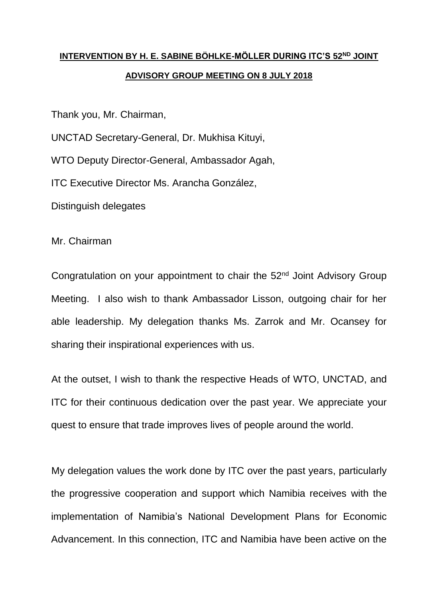## **INTERVENTION BY H. E. SABINE BÖHLKE-MÖLLER DURING ITC'S 52ND JOINT ADVISORY GROUP MEETING ON 8 JULY 2018**

Thank you, Mr. Chairman,

UNCTAD Secretary-General, Dr. Mukhisa Kituyi,

WTO Deputy Director-General, Ambassador Agah,

ITC Executive Director Ms. Arancha González,

Distinguish delegates

Mr. Chairman

Congratulation on your appointment to chair the 52<sup>nd</sup> Joint Advisory Group Meeting. I also wish to thank Ambassador Lisson, outgoing chair for her able leadership. My delegation thanks Ms. Zarrok and Mr. Ocansey for sharing their inspirational experiences with us.

At the outset, I wish to thank the respective Heads of WTO, UNCTAD, and ITC for their continuous dedication over the past year. We appreciate your quest to ensure that trade improves lives of people around the world.

My delegation values the work done by ITC over the past years, particularly the progressive cooperation and support which Namibia receives with the implementation of Namibia's National Development Plans for Economic Advancement. In this connection, ITC and Namibia have been active on the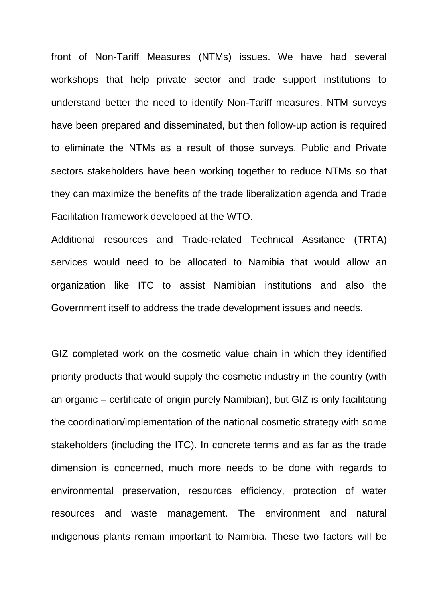front of Non-Tariff Measures (NTMs) issues. We have had several workshops that help private sector and trade support institutions to understand better the need to identify Non-Tariff measures. NTM surveys have been prepared and disseminated, but then follow-up action is required to eliminate the NTMs as a result of those surveys. Public and Private sectors stakeholders have been working together to reduce NTMs so that they can maximize the benefits of the trade liberalization agenda and Trade Facilitation framework developed at the WTO.

Additional resources and Trade-related Technical Assitance (TRTA) services would need to be allocated to Namibia that would allow an organization like ITC to assist Namibian institutions and also the Government itself to address the trade development issues and needs.

GIZ completed work on the cosmetic value chain in which they identified priority products that would supply the cosmetic industry in the country (with an organic – certificate of origin purely Namibian), but GIZ is only facilitating the coordination/implementation of the national cosmetic strategy with some stakeholders (including the ITC). In concrete terms and as far as the trade dimension is concerned, much more needs to be done with regards to environmental preservation, resources efficiency, protection of water resources and waste management. The environment and natural indigenous plants remain important to Namibia. These two factors will be